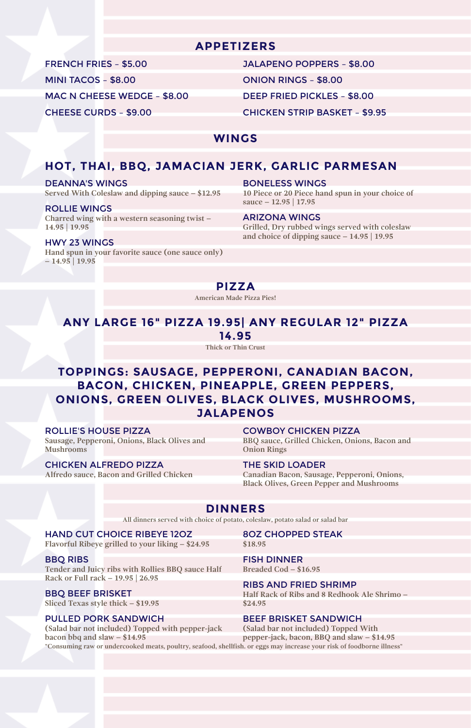# **APPETIZERS**

FRENCH FRIES – \$5.00 JALAPENO POPPERS – \$8.00

MINI TACOS – \$8.00 ONION RINGS – \$8.00

MAC N CHEESE WEDGE – \$8.00 DEEP FRIED PICKLES – \$8.00

CHEESE CURDS – \$9.00 CHICKEN STRIP BASKET – \$9.95

# **WINGS**

# **HOT, THAI, BBQ, JAMACIAN JERK, GARLIC PARMESAN**

#### DEANNA'S WINGS

**Served With Coleslaw and dipping sauce – \$12.95**

#### BONELESS WINGS

**10 Piece or 20 Piece hand spun in your choice of sauce – 12.95 | 17.95**

#### ROLLIE WINGS

**Charred wing with a western seasoning twist – 14.95 | 19.95**

#### ARIZONA WINGS

**Grilled, Dry rubbed wings served with coleslaw and choice of dipping sauce – 14.95 | 19.95**

#### HWY 23 WINGS

**Hand spun in your favorite sauce (one sauce only) – 14.95 | 19.95**

**PIZZA**

**American Made Pizza Pies!**

# **ANY LARGE 16" PIZZA 19.95| ANY REGULAR 12" PIZZA 14.95**

**Thick or Thin Crust**

# **TOPPINGS: SAUSAGE, PEPPERONI, CANADIAN BACON, BACON, CHICKEN, PINEAPPLE, GREEN PEPPERS, ONIONS, GREEN OLIVES, BLACK OLIVES, MUSHROOMS, JALAPENOS**

#### ROLLIE'S HOUSE PIZZA

**Sausage, Pepperoni, Onions, Black Olives and Mushrooms**

#### COWBOY CHICKEN PIZZA

**BBQ sauce, Grilled Chicken, Onions, Bacon and Onion Rings**

#### CHICKEN ALFREDO PIZZA

**Alfredo sauce, Bacon and Grilled Chicken**

#### THE SKID LOADER

**Canadian Bacon, Sausage, Pepperoni, Onions, Black Olives, Green Pepper and Mushrooms**

# **DINNERS**

**All dinners served with choice of potato, coleslaw, potato salad or salad bar**

HAND CUT CHOICE RIBEYE 12OZ

**Flavorful Ribeye grilled to your liking – \$24.95**

8OZ CHOPPED STEAK **\$18.95**

#### BBQ RIBS

**Tender and Juicy ribs with Rollies BBQ sauce Half Rack or Full rack – 19.95 | 26.95**

#### FISH DINNER **Breaded Cod – \$16.95**

### BBQ BEEF BRISKET

**Sliced Texas style thick – \$19.95**

## RIBS AND FRIED SHRIMP

**Half Rack of Ribs and 8 Redhook Ale Shrimo – \$24.95**

# PULLED PORK SANDWICH

**(Salad bar not included) Topped with pepper-jack bacon bbq and slaw – \$14.95**

# BEEF BRISKET SANDWICH

**(Salad bar not included) Topped With pepper-jack, bacon, BBQ and slaw – \$14.95**

**"Consuming raw or undercooked meats, poultry, seafood, shellfish. or eggs may increase your risk of foodborne illness"**